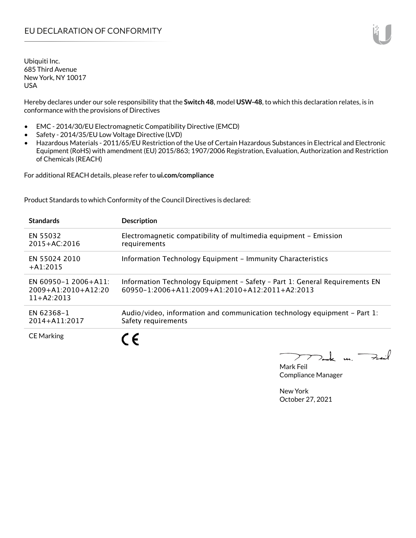Hereby declares under our sole responsibility that the **Switch 48**, model **USW-48**, to which this declaration relates, is in conformance with the provisions of Directives

- EMC 2014/30/EU Electromagnetic Compatibility Directive (EMCD)
- Safety 2014/35/EU Low Voltage Directive (LVD)
- Hazardous Materials 2011/65/EU Restriction of the Use of Certain Hazardous Substances in Electrical and Electronic Equipment (RoHS) with amendment (EU) 2015/863; 1907/2006 Registration, Evaluation, Authorization and Restriction of Chemicals (REACH)

For additional REACH details, please refer to **ui.com/compliance**

Product Standards to which Conformity of the Council Directives is declared:

| <b>Standards</b>                                                  | <b>Description</b>                                                                                                            |
|-------------------------------------------------------------------|-------------------------------------------------------------------------------------------------------------------------------|
| EN 55032<br>$2015 + AC:2016$                                      | Electromagnetic compatibility of multimedia equipment - Emission<br>requirements                                              |
| EN 55024 2010<br>$+ A1:2015$                                      | Information Technology Equipment - Immunity Characteristics                                                                   |
| EN 60950-1 2006+A11:<br>$2009 + A1:2010 + A12:20$<br>$11+42:2013$ | Information Technology Equipment - Safety - Part 1: General Requirements EN<br>60950-1:2006+A11:2009+A1:2010+A12:2011+A2:2013 |
| EN 62368-1<br>$2014 + A11:2017$                                   | Audio/video, information and communication technology equipment – Part 1:<br>Safety requirements                              |
| <b>CE Marking</b>                                                 |                                                                                                                               |

 $k$  un  $\rightarrow$  $\overline{\phantom{a}}$ 

Mark Feil Compliance Manager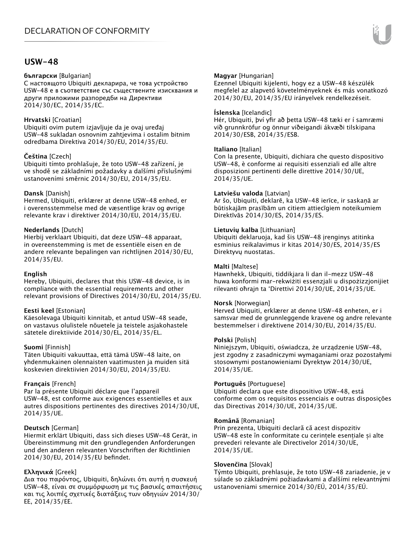### **USW-48**

#### **български** [Bulgarian]

С настоящото Ubiquiti декларира, че това устройство USW-48 е в съответствие със съществените изисквания и други приложими разпоредби на Директиви 2014/30/ЕС, 2014/35/ЕС.

#### **Hrvatski** [Croatian]

Ubiquiti ovim putem izjavljuje da je ovaj uređaj USW-48 sukladan osnovnim zahtjevima i ostalim bitnim odredbama Direktiva 2014/30/EU, 2014/35/EU.

#### **Čeština** [Czech]

Ubiquiti tímto prohlašuje, že toto USW-48 zařízení, je ve shodě se základními požadavky a dalšími příslušnými ustanoveními směrnic 2014/30/EU, 2014/35/EU.

#### **Dansk** [Danish]

Hermed, Ubiquiti, erklærer at denne USW-48 enhed, er i overensstemmelse med de væsentlige krav og øvrige relevante krav i direktiver 2014/30/EU, 2014/35/EU.

#### **Nederlands** [Dutch]

Hierbij verklaart Ubiquiti, dat deze USW-48 apparaat, in overeenstemming is met de essentiële eisen en de andere relevante bepalingen van richtlijnen 2014/30/EU, 2014/35/EU.

#### **English**

Hereby, Ubiquiti, declares that this USW-48 device, is in compliance with the essential requirements and other relevant provisions of Directives 2014/30/EU, 2014/35/EU.

#### **Eesti keel** [Estonian]

Käesolevaga Ubiquiti kinnitab, et antud USW-48 seade, on vastavus olulistele nõuetele ja teistele asjakohastele sätetele direktiivide 2014/30/EL, 2014/35/EL.

#### **Suomi** [Finnish]

Täten Ubiquiti vakuuttaa, että tämä USW-48 laite, on yhdenmukainen olennaisten vaatimusten ja muiden sitä koskevien direktiivien 2014/30/EU, 2014/35/EU.

#### **Français** [French]

Par la présente Ubiquiti déclare que l'appareil USW-48, est conforme aux exigences essentielles et aux autres dispositions pertinentes des directives 2014/30/UE, 2014/35/UE.

#### **Deutsch** [German]

Hiermit erklärt Ubiquiti, dass sich dieses USW-48 Gerät, in Übereinstimmung mit den grundlegenden Anforderungen und den anderen relevanten Vorschriften der Richtlinien 2014/30/EU, 2014/35/EU befindet.

#### **Ελληνικά** [Greek]

Δια του παρόντος, Ubiquiti, δηλώνει ότι αυτή η συσκευή USW-48, είναι σε συμμόρφωση με τις βασικές απαιτήσεις και τις λοιπές σχετικές διατάξεις των οδηγιών 2014/30/ EE, 2014/35/EE.

#### **Magyar** [Hungarian]

Ezennel Ubiquiti kijelenti, hogy ez a USW-48 készülék megfelel az alapvető követelményeknek és más vonatkozó 2014/30/EU, 2014/35/EU irányelvek rendelkezéseit.

#### **Íslenska** [Icelandic]

Hér, Ubiquiti, því yfir að þetta USW-48 tæki er í samræmi við grunnkröfur og önnur viðeigandi ákvæði tilskipana 2014/30/ESB, 2014/35/ESB.

#### **Italiano** [Italian]

Con la presente, Ubiquiti, dichiara che questo dispositivo USW-48, è conforme ai requisiti essenziali ed alle altre disposizioni pertinenti delle direttive 2014/30/UE, 2014/35/UE.

#### **Latviešu valoda** [Latvian]

Ar šo, Ubiquiti, deklarē, ka USW-48 ierīce, ir saskaņā ar būtiskajām prasībām un citiem attiecīgiem noteikumiem Direktīvās 2014/30/ES, 2014/35/ES.

#### **Lietuvių kalba** [Lithuanian]

Ubiquiti deklaruoja, kad šis USW-48 įrenginys atitinka esminius reikalavimus ir kitas 2014/30/ES, 2014/35/ES Direktyvų nuostatas.

#### **Malti** [Maltese]

Hawnhekk, Ubiquiti, tiddikjara li dan il-mezz USW-48 huwa konformi mar-rekwiżiti essenzjali u dispożizzjonijiet rilevanti oħrajn ta 'Direttivi 2014/30/UE, 2014/35/UE.

#### **Norsk** [Norwegian]

Herved Ubiquiti, erklærer at denne USW-48 enheten, er i samsvar med de grunnleggende kravene og andre relevante bestemmelser i direktivene 2014/30/EU, 2014/35/EU.

#### **Polski** [Polish]

Niniejszym, Ubiquiti, oświadcza, że urządzenie USW-48, jest zgodny z zasadniczymi wymaganiami oraz pozostałymi stosownymi postanowieniami Dyrektyw 2014/30/UE, 2014/35/UE.

#### **Português** [Portuguese]

Ubiquiti declara que este dispositivo USW-48, está conforme com os requisitos essenciais e outras disposições das Directivas 2014/30/UE, 2014/35/UE.

#### **Română** [Romanian]

Prin prezenta, Ubiquiti declară că acest dispozitiv USW-48 este în conformitate cu cerințele esențiale și alte prevederi relevante ale Directivelor 2014/30/UE, 2014/35/UE.

#### **Slovenčina** [Slovak]

Týmto Ubiquiti, prehlasuje, že toto USW-48 zariadenie, je v súlade so základnými požiadavkami a ďalšími relevantnými ustanoveniami smernice 2014/30/EÚ, 2014/35/EÚ.

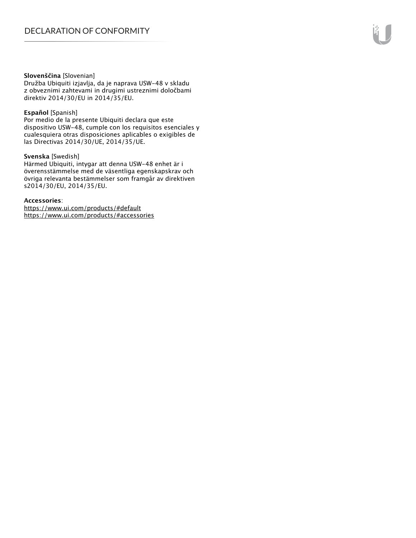#### **Slovenščina** [Slovenian]

Družba Ubiquiti izjavlja, da je naprava USW-48 v skladu z obveznimi zahtevami in drugimi ustreznimi določbami direktiv 2014/30/EU in 2014/35/EU.

#### **Español** [Spanish]

Por medio de la presente Ubiquiti declara que este dispositivo USW-48, cumple con los requisitos esenciales y cualesquiera otras disposiciones aplicables o exigibles de las Directivas 2014/30/UE, 2014/35/UE.

#### **Svenska** [Swedish]

Härmed Ubiquiti, intygar att denna USW-48 enhet är i överensstämmelse med de väsentliga egenskapskrav och övriga relevanta bestämmelser som framgår av direktiven s2014/30/EU, 2014/35/EU.

#### **Accessories**:

https://www.ui.com/products/#default https://www.ui.com/products/#accessories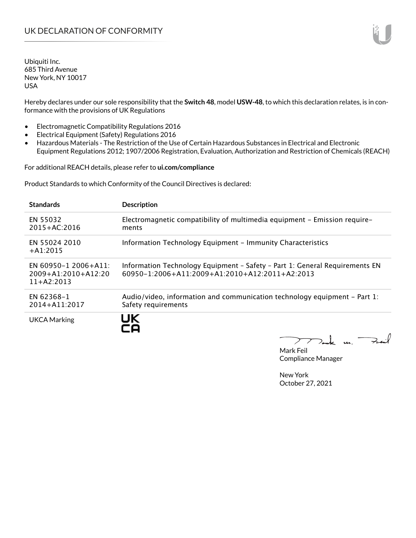Hereby declares under our sole responsibility that the **Switch 48**, model **USW-48**, to which this declaration relates, is in conformance with the provisions of UK Regulations

- Electromagnetic Compatibility Regulations 2016
- Electrical Equipment (Safety) Regulations 2016
- Hazardous Materials The Restriction of the Use of Certain Hazardous Substances in Electrical and Electronic Equipment Regulations 2012; 1907/2006 Registration, Evaluation, Authorization and Restriction of Chemicals (REACH)

For additional REACH details, please refer to **ui.com/compliance**

Product Standards to which Conformity of the Council Directives is declared:

| <b>Standards</b>                                             | <b>Description</b>                                                                                                                        |
|--------------------------------------------------------------|-------------------------------------------------------------------------------------------------------------------------------------------|
| EN 55032<br>$2015 + AC:2016$                                 | Electromagnetic compatibility of multimedia equipment – Emission require–<br>ments                                                        |
| EN 55024 2010<br>$+41:2015$                                  | Information Technology Equipment - Immunity Characteristics                                                                               |
| EN 60950-1 2006+A11:<br>2009+A1:2010+A12:20<br>$11+ A2:2013$ | Information Technology Equipment - Safety - Part 1: General Requirements EN<br>$60950 - 1:2006 + A11:2009 + A1:2010 + A12:2011 + A2:2013$ |
| EN 62368-1<br>2014+A11:2017                                  | Audio/video, information and communication technology equipment - Part 1:<br>Safety requirements                                          |
| <b>UKCA Marking</b>                                          | JK                                                                                                                                        |

Mak m. Mark Feil Compliance Manager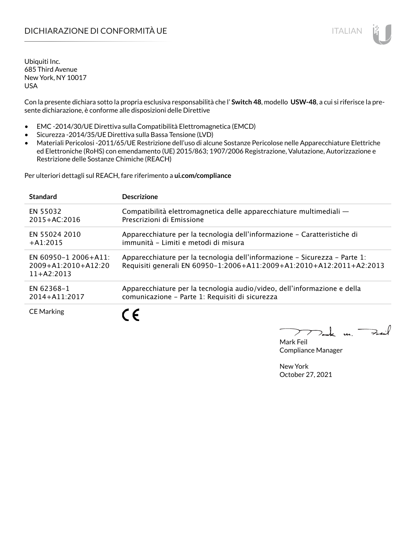Con la presente dichiara sotto la propria esclusiva responsabilità che l' **Switch 48**, modello **USW-48**, a cui si riferisce la presente dichiarazione, è conforme alle disposizioni delle Direttive

- EMC -2014/30/UE Direttiva sulla Compatibilità Elettromagnetica (EMCD)
- Sicurezza -2014/35/UE Direttiva sulla Bassa Tensione (LVD)
- Materiali Pericolosi -2011/65/UE Restrizione dell'uso di alcune Sostanze Pericolose nelle Apparecchiature Elettriche ed Elettroniche (RoHS) con emendamento (UE) 2015/863; 1907/2006 Registrazione, Valutazione, Autorizzazione e Restrizione delle Sostanze Chimiche (REACH)

Per ulteriori dettagli sul REACH, fare riferimento a **ui.com/compliance**

| <b>Standard</b>                                                   | <b>Descrizione</b>                                                                                                                                 |
|-------------------------------------------------------------------|----------------------------------------------------------------------------------------------------------------------------------------------------|
| EN 55032                                                          | Compatibilità elettromagnetica delle apparecchiature multimediali -                                                                                |
| $2015 + AC:2016$                                                  | Prescrizioni di Emissione                                                                                                                          |
| EN 55024 2010                                                     | Apparecchiature per la tecnologia dell'informazione – Caratteristiche di                                                                           |
| $+$ A1:2015                                                       | immunità - Limiti e metodi di misura                                                                                                               |
| EN 60950-1 2006+A11:<br>$2009 + A1:2010 + A12:20$<br>$11+42:2013$ | Apparecchiature per la tecnologia dell'informazione – Sicurezza – Parte 1:<br>Requisiti generali EN 60950-1:2006+A11:2009+A1:2010+A12:2011+A2:2013 |
| EN 62368-1                                                        | Apparecchiature per la tecnologia audio/video, dell'informazione e della                                                                           |
| 2014+A11:2017                                                     | comunicazione - Parte 1: Requisiti di sicurezza                                                                                                    |
| <b>CE Marking</b>                                                 | ←                                                                                                                                                  |

 $\mathbf{u}$ 

Mark Feil Compliance Manager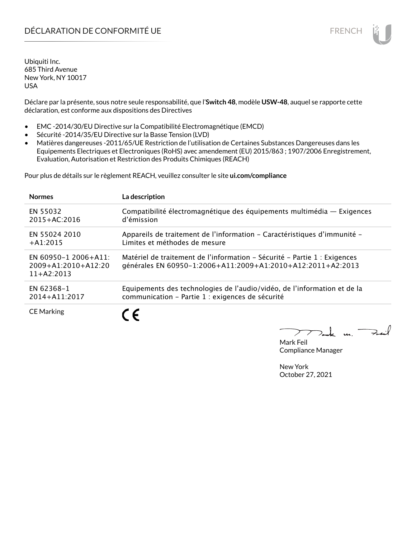Déclare par la présente, sous notre seule responsabilité, que l'**Switch 48**, modèle **USW-48**, auquel se rapporte cette déclaration, est conforme aux dispositions des Directives

- EMC -2014/30/EU Directive sur la Compatibilité Electromagnétique (EMCD)
- Sécurité -2014/35/EU Directive sur la Basse Tension (LVD)
- Matières dangereuses -2011/65/UE Restriction de l'utilisation de Certaines Substances Dangereuses dans les Equipements Electriques et Electroniques (RoHS) avec amendement (EU) 2015/863 ; 1907/2006 Enregistrement, Evaluation, Autorisation et Restriction des Produits Chimiques (REACH)

Pour plus de détails sur le règlement REACH, veuillez consulter le site **ui.com/compliance**

| <b>Normes</b>                                                 | La description                                                                                                                           |
|---------------------------------------------------------------|------------------------------------------------------------------------------------------------------------------------------------------|
| EN 55032                                                      | Compatibilité électromagnétique des équipements multimédia - Exigences                                                                   |
| $2015 + AC:2016$                                              | d'émission                                                                                                                               |
| EN 55024 2010                                                 | Appareils de traitement de l'information – Caractéristiques d'immunité –                                                                 |
| $+$ A1:2015                                                   | Limites et méthodes de mesure                                                                                                            |
| EN 60950-1 2006+A11:<br>$2009+A1:2010+A12:20$<br>$11+42:2013$ | Matériel de traitement de l'information – Sécurité – Partie 1 : Exigences<br>générales EN 60950-1:2006+A11:2009+A1:2010+A12:2011+A2:2013 |
| EN 62368-1                                                    | Equipements des technologies de l'audio/vidéo, de l'information et de la                                                                 |
| 2014+A11:2017                                                 | communication - Partie 1 : exigences de sécurité                                                                                         |
| <b>CE Marking</b>                                             | ←                                                                                                                                        |

 $\overline{\mathbf{u}}$ 

Mark Feil Compliance Manager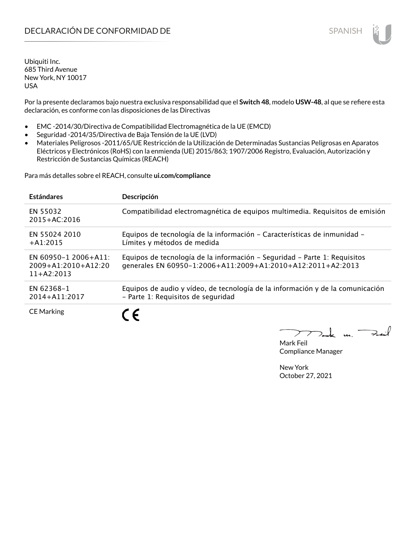Por la presente declaramos bajo nuestra exclusiva responsabilidad que el **Switch 48**, modelo **USW-48**, al que se refiere esta declaración, es conforme con las disposiciones de las Directivas

- EMC -2014/30/Directiva de Compatibilidad Electromagnética de la UE (EMCD)
- Seguridad -2014/35/Directiva de Baja Tensión de la UE (LVD)
- Materiales Peligrosos -2011/65/UE Restricción de la Utilización de Determinadas Sustancias Peligrosas en Aparatos Eléctricos y Electrónicos (RoHS) con la enmienda (UE) 2015/863; 1907/2006 Registro, Evaluación, Autorización y Restricción de Sustancias Químicas (REACH)

Para más detalles sobre el REACH, consulte **ui.com/compliance**

| <b>Estándares</b>                                             | Descripción                                                                                                                              |
|---------------------------------------------------------------|------------------------------------------------------------------------------------------------------------------------------------------|
| EN 55032<br>$2015 + AC:2016$                                  | Compatibilidad electromagnética de equipos multimedia. Requisitos de emisión                                                             |
| EN 55024 2010<br>$+A1:2015$                                   | Equipos de tecnología de la información - Características de inmunidad -<br>Límites y métodos de medida                                  |
| EN 60950-1 2006+A11:<br>$2009+A1:2010+A12:20$<br>$11+AA:2013$ | Equipos de tecnología de la información – Seguridad – Parte 1: Requisitos<br>generales EN 60950-1:2006+A11:2009+A1:2010+A12:2011+A2:2013 |
| EN 62368-1<br>2014+A11:2017                                   | Equipos de audio y vídeo, de tecnología de la información y de la comunicación<br>- Parte 1: Requisitos de seguridad                     |
| <b>CE Marking</b>                                             |                                                                                                                                          |

m. Fail

Mark Feil Compliance Manager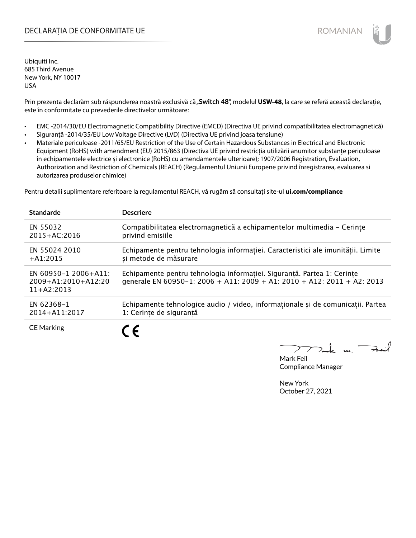## DECLARAȚIA DE CONFORMITATE UE EXECUTE DE ROMANIAN

Ubiquiti Inc. 685 Third Avenue New York, NY 10017 USA

Prin prezenta declarăm sub răspunderea noastră exclusivă că "Switch 48", modelul USW-48, la care se referă această declarație, este în conformitate cu prevederile directivelor următoare:

- EMC -2014/30/EU Electromagnetic Compatibility Directive (EMCD) (Directiva UE privind compatibilitatea electromagnetică)
- Siguranță -2014/35/EU Low Voltage Directive (LVD) (Directiva UE privind joasa tensiune)
- Materiale periculoase -2011/65/EU Restriction of the Use of Certain Hazardous Substances in Electrical and Electronic Equipment (RoHS) with amendment (EU) 2015/863 (Directiva UE privind restricția utilizării anumitor substanțe periculoase în echipamentele electrice și electronice (RoHS) cu amendamentele ulterioare); 1907/2006 Registration, Evaluation, Authorization and Restriction of Chemicals (REACH) (Regulamentul Uniunii Europene privind înregistrarea, evaluarea si autorizarea produselor chimice)

Pentru detalii suplimentare referitoare la regulamentul REACH, vă rugăm să consultați site-ul **ui.com/compliance**

| <b>Standarde</b>                                              | <b>Descriere</b>                                                                                                                                   |
|---------------------------------------------------------------|----------------------------------------------------------------------------------------------------------------------------------------------------|
| EN 55032                                                      | Compatibilitatea electromagnetică a echipamentelor multimedia - Cerințe                                                                            |
| $2015 + AC:2016$                                              | privind emisiile                                                                                                                                   |
| EN 55024 2010                                                 | Echipamente pentru tehnologia informației. Caracteristici ale imunității. Limite                                                                   |
| $+A1:2015$                                                    | si metode de măsurare                                                                                                                              |
| EN 60950-1 2006+A11:<br>$2009+A1:2010+A12:20$<br>$11+AA:2013$ | Echipamente pentru tehnologia informației. Siguranță. Partea 1: Cerințe<br>generale EN 60950-1: 2006 + A11: 2009 + A1: 2010 + A12: 2011 + A2: 2013 |
| EN 62368-1                                                    | Echipamente tehnologice audio / video, informaționale și de comunicații. Partea                                                                    |
| 2014+A11:2017                                                 | 1: Cerințe de siguranță                                                                                                                            |
| <b>CE Marking</b>                                             | $\epsilon$                                                                                                                                         |

k m. –

Mark Feil Compliance Manager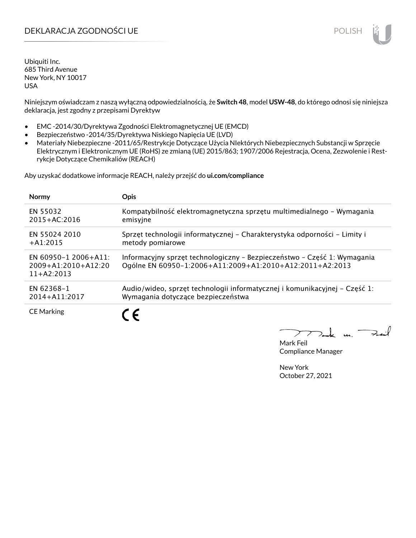# DEKLARACJA ZGODNOŚCI UE POLISH POLISH

Ubiquiti Inc. 685 Third Avenue New York, NY 10017 USA

Niniejszym oświadczam z naszą wyłączną odpowiedzialnością, że **Switch 48**, model **USW-48**, do którego odnosi się niniejsza deklaracja, jest zgodny z przepisami Dyrektyw

- EMC -2014/30/Dyrektywa Zgodności Elektromagnetycznej UE (EMCD)
- Bezpieczeństwo -2014/35/Dyrektywa Niskiego Napięcia UE (LVD)
- Materiały Niebezpieczne -2011/65/Restrykcje Dotyczące Użycia NIektórych Niebezpiecznych Substancji w Sprzęcie Elektrycznym i Elektronicznym UE (RoHS) ze zmianą (UE) 2015/863; 1907/2006 Rejestracja, Ocena, Zezwolenie i Restrykcje Dotyczące Chemikaliów (REACH)

Aby uzyskać dodatkowe informacje REACH, należy przejść do **ui.com/compliance**

| <b>Normy</b>                                                      | <b>Opis</b>                                                                                                                          |
|-------------------------------------------------------------------|--------------------------------------------------------------------------------------------------------------------------------------|
| EN 55032                                                          | Kompatybilność elektromagnetyczna sprzętu multimedialnego – Wymagania                                                                |
| $2015 + AC:2016$                                                  | emisyjne                                                                                                                             |
| EN 55024 2010                                                     | Sprzęt technologii informatycznej - Charakterystyka odporności - Limity i                                                            |
| $+A1:2015$                                                        | metody pomiarowe                                                                                                                     |
| EN 60950-1 2006+A11:<br>$2009 + A1:2010 + A12:20$<br>$11+AA:2013$ | Informacyjny sprzęt technologiczny - Bezpieczeństwo - Część 1: Wymagania<br>Ogólne EN 60950-1:2006+A11:2009+A1:2010+A12:2011+A2:2013 |
| EN 62368-1                                                        | Audio/wideo, sprzęt technologii informatycznej i komunikacyjnej – Część 1:                                                           |
| 2014+A11:2017                                                     | Wymagania dotyczące bezpieczeństwa                                                                                                   |
| <b>CE Marking</b>                                                 |                                                                                                                                      |

Mark Feil Compliance Manager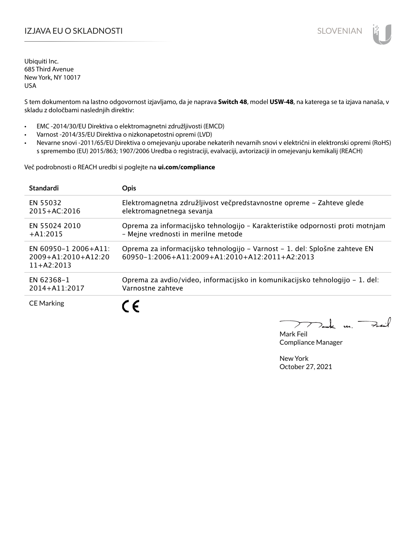# IZJAVA EU O SKLADNOSTI SLOVENIAN

Ubiquiti Inc. 685 Third Avenue New York, NY 10017 USA

S tem dokumentom na lastno odgovornost izjavljamo, da je naprava **Switch 48**, model **USW-48**, na katerega se ta izjava nanaša, v skladu z določbami naslednjih direktiv:

- EMC -2014/30/EU Direktiva o elektromagnetni združljivosti (EMCD)
- Varnost -2014/35/EU Direktiva o nizkonapetostni opremi (LVD)
- Nevarne snovi -2011/65/EU Direktiva o omejevanju uporabe nekaterih nevarnih snovi v električni in elektronski opremi (RoHS) s spremembo (EU) 2015/863; 1907/2006 Uredba o registraciji, evalvaciji, avtorizaciji in omejevanju kemikalij (REACH)

Več podrobnosti o REACH uredbi si poglejte na **ui.com/compliance**

| <b>Standardi</b>                                                  | <b>Opis</b>                                                                                                                  |
|-------------------------------------------------------------------|------------------------------------------------------------------------------------------------------------------------------|
| EN 55032                                                          | Elektromagnetna združljivost večpredstavnostne opreme – Zahteve glede                                                        |
| $2015 + AC:2016$                                                  | elektromagnetnega sevanja                                                                                                    |
| EN 55024 2010                                                     | Oprema za informacijsko tehnologijo - Karakteristike odpornosti proti motnjam                                                |
| $+A1:2015$                                                        | - Mejne vrednosti in merilne metode                                                                                          |
| EN 60950-1 2006+A11:<br>$2009 + A1:2010 + A12:20$<br>$11+AA:2013$ | Oprema za informacijsko tehnologijo – Varnost – 1. del: Splošne zahteve EN<br>60950-1:2006+A11:2009+A1:2010+A12:2011+A2:2013 |
| EN 62368-1                                                        | Oprema za avdio/video, informacijsko in komunikacijsko tehnologijo – 1. del:                                                 |
| 2014+A11:2017                                                     | Varnostne zahteve                                                                                                            |
| <b>CE Marking</b>                                                 | C E                                                                                                                          |

m. Fail

Mark Feil Compliance Manager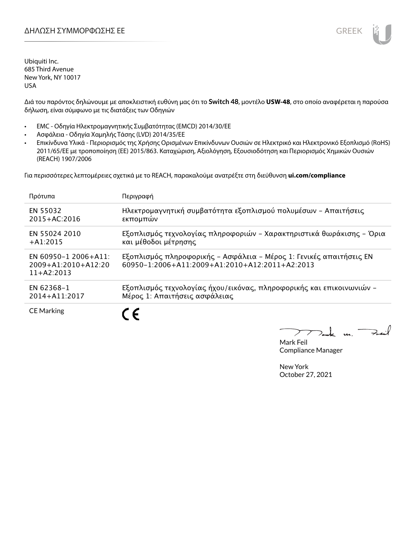

Διά του παρόντος δηλώνουμε με αποκλειστική ευθύνη μας ότι το **Switch 48**, μοντέλο **USW-48**, στο οποίο αναφέρεται η παρούσα δήλωση, είναι σύμφωνο με τις διατάξεις των Οδηγιών

- EMC Οδηγία Ηλεκτρομαγνητικής Συμβατότητας (EMCD) 2014/30/ΕΕ
- Ασφάλεια Οδηγία Χαμηλής Τάσης (LVD) 2014/35/ΕΕ
- Επικίνδυνα Υλικά Περιορισμός της Χρήσης Ορισμένων Επικίνδυνων Ουσιών σε Ηλεκτρικό και Ηλεκτρονικό Εξοπλισμό (RoHS) 2011/65/ΕΕ με τροποποίηση (ΕΕ) 2015/863. Καταχώριση, Αξιολόγηση, Εξουσιοδότηση και Περιορισμός Χημικών Ουσιών (REACH) 1907/2006

Για περισσότερες λεπτομέρειες σχετικά με το REACH, παρακαλούμε ανατρέξτε στη διεύθυνση **ui.com/compliance**

| Πρότυπα                                                           | Περιγραφή                                                                                                             |
|-------------------------------------------------------------------|-----------------------------------------------------------------------------------------------------------------------|
| EN 55032                                                          | Ηλεκτρομαγνητική συμβατότητα εξοπλισμού πολυμέσων - Απαιτήσεις                                                        |
| $2015 + AC:2016$                                                  | εκπομπών                                                                                                              |
| EN 55024 2010                                                     | Εξοπλισμός τεχνολογίας πληροφοριών - Χαρακτηριστικά θωράκισης - Όρια                                                  |
| $+A1:2015$                                                        | και μέθοδοι μέτρησης                                                                                                  |
| EN 60950-1 2006+A11:<br>$2009 + A1:2010 + A12:20$<br>$11+AA:2013$ | Εξοπλισμός πληροφορικής - Ασφάλεια - Μέρος 1: Γενικές απαιτήσεις ΕΝ<br>60950-1:2006+A11:2009+A1:2010+A12:2011+A2:2013 |
| EN 62368-1                                                        | Εξοπλισμός τεχνολογίας ήχου/εικόνας, πληροφορικής και επικοινωνιών -                                                  |
| 2014+A11:2017                                                     | Μέρος 1: Απαιτήσεις ασφάλειας                                                                                         |
| <b>CE Marking</b>                                                 |                                                                                                                       |

 $\overline{u}$ . Fail

Mark Feil Compliance Manager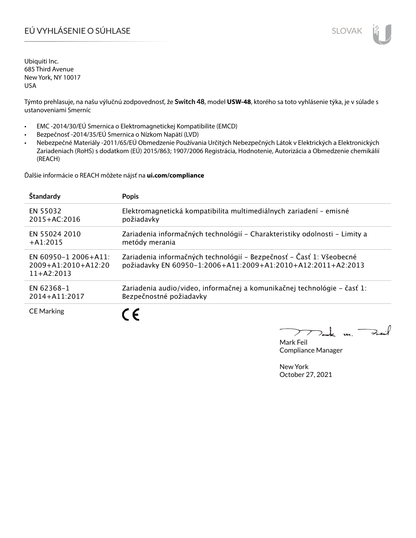# EÚ VYHLÁSENIE O SÚHLASE SLOVAK SLOVAK

Ubiquiti Inc. 685 Third Avenue New York, NY 10017 USA

Týmto prehlasuje, na našu výlučnú zodpovednosť, že **Switch 48**, model **USW-48**, ktorého sa toto vyhlásenie týka, je v súlade s ustanoveniami Smerníc

- EMC -2014/30/EÚ Smernica o Elektromagnetickej Kompatibilite (EMCD)
- Bezpečnosť -2014/35/EÚ Smernica o Nízkom Napätí (LVD)
- Nebezpečné Materiály -2011/65/EÚ Obmedzenie Používania Určitých Nebezpečných Látok v Elektrických a Elektronických Zariadeniach (RoHS) s dodatkom (EÚ) 2015/863; 1907/2006 Registrácia, Hodnotenie, Autorizácia a Obmedzenie chemikálií (REACH)

Ďalšie informácie o REACH môžete nájsť na **ui.com/compliance**

| Štandardy                                                     | <b>Popis</b>                                                                                                                         |
|---------------------------------------------------------------|--------------------------------------------------------------------------------------------------------------------------------------|
| EN 55032                                                      | Elektromagnetická kompatibilita multimediálnych zariadení - emisné                                                                   |
| $2015 + AC:2016$                                              | požiadavky                                                                                                                           |
| EN 55024 2010                                                 | Zariadenia informačných technológií - Charakteristiky odolnosti - Limity a                                                           |
| $+$ A1:2015                                                   | metódy merania                                                                                                                       |
| EN 60950-1 2006+A11:<br>$2009+A1:2010+A12:20$<br>$11+AA:2013$ | Zariadenia informačných technológií – Bezpečnosť – Časť 1: Všeobecné<br>požiadavky EN 60950-1:2006+A11:2009+A1:2010+A12:2011+A2:2013 |
| EN 62368-1                                                    | Zariadenia audio/video, informačnej a komunikačnej technológie – časť 1:                                                             |
| 2014+A11:2017                                                 | Bezpečnostné požiadavky                                                                                                              |
| <b>CE Marking</b>                                             |                                                                                                                                      |

 $u_{1}$   $\rightarrow$ 

Mark Feil Compliance Manager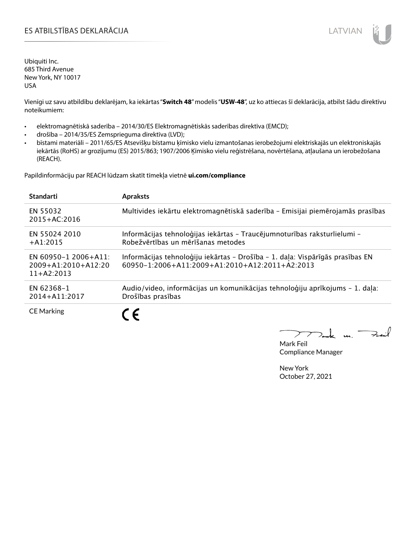## ES ATBILSTĪBAS DEKLARĀCIJA LATVIAN

Ubiquiti Inc. 685 Third Avenue New York, NY 10017 USA

Vienīgi uz savu atbildību deklarējam, ka iekārtas "**Switch 48**" modelis "**USW-48**", uz ko attiecas šī deklarācija, atbilst šādu direktīvu noteikumiem:

- elektromagnētiskā saderība 2014/30/ES Elektromagnētiskās saderības direktīva (EMCD);
- drošība 2014/35/ES Zemsprieguma direktīva (LVD);
- bīstami materiāli 2011/65/ES Atsevišķu bīstamu ķīmisko vielu izmantošanas ierobežojumi elektriskajās un elektroniskajās iekārtās (RoHS) ar grozījumu (ES) 2015/863; 1907/2006 Ķīmisko vielu reģistrēšana, novērtēšana, atļaušana un ierobežošana (REACH).

Papildinformāciju par REACH lūdzam skatīt tīmekļa vietnē **ui.com/compliance**

| <b>Standarti</b>                                                  | <b>Apraksts</b>                                                                                                                 |
|-------------------------------------------------------------------|---------------------------------------------------------------------------------------------------------------------------------|
| EN 55032<br>$2015 + AC:2016$                                      | Multivides iekārtu elektromagnētiskā saderība - Emisijai piemērojamās prasības                                                  |
| EN 55024 2010<br>$+$ A1:2015                                      | Informācijas tehnoloģijas iekārtas - Traucējumnoturības raksturlielumi -<br>Robežvērtības un mērīšanas metodes                  |
| EN 60950-1 2006+A11:<br>$2009 + A1:2010 + A12:20$<br>$11+42:2013$ | Informācijas tehnoloģiju iekārtas - Drošība - 1. daļa: Vispārīgās prasības EN<br>60950-1:2006+A11:2009+A1:2010+A12:2011+A2:2013 |
| EN 62368-1<br>2014+A11:2017                                       | Audio/video, informācijas un komunikācijas tehnoloģiju aprīkojums - 1. daļa:<br>Drošības prasības                               |
| <b>CE Marking</b>                                                 | $\epsilon$                                                                                                                      |

m. Fail

Mark Feil Compliance Manager